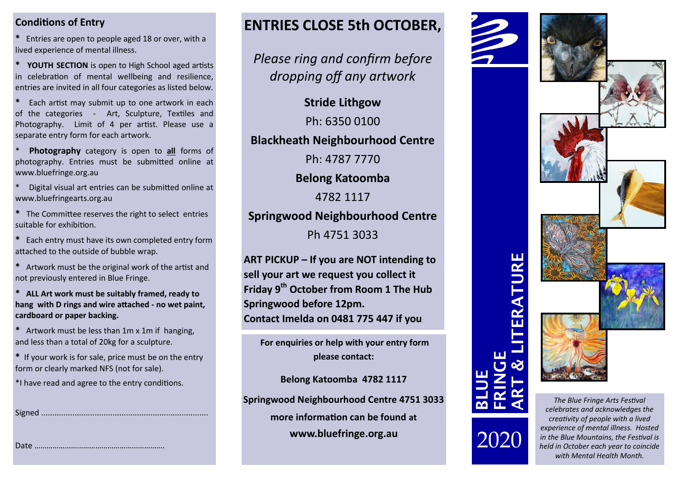#### **Conditions of Entry**

**\*** Entries are open to people aged 18 or over, with a lived experience of mental illness.

**\* YOUTH SECTION** is open to High School aged artists in celebration of mental wellbeing and resilience, entries are invited in all four categories as listed below.

**\*** Each artist may submit up to one artwork in each of the categories - Art, Sculpture, Textiles and Photography. Limit of 4 per artist. Please use a separate entry form for each artwork.

Photography category is open to **all** forms of photography. Entries must be submitted online at www.bluefringe.org.au

Digital visual art entries can be submitted online at www.bluefringearts.org.au

**\*** The Committee reserves the right to select entries suitable for exhibition.

**\*** Each entry must have its own completed entry form attached to the outside of bubble wrap.

**\*** Artwork must be the original work of the artist and not previously entered in Blue Fringe.

**\* ALL Art work must be suitably framed, ready to hang with D rings and wire attached - no wet paint, cardboard or paper backing.**

**\*** Artwork must be less than 1m x 1m if hanging, and less than a total of 20kg for a sculpture.

**\*** If your work is for sale, price must be on the entry form or clearly marked NFS (not for sale).

\*I have read and agree to the entry conditions.

Date ……………………………………………………….

Signed ...........................................................................

## **ENTRIES CLOSE 5th OCTOBER,**

*Please ring and confirm before dropping off any artwork*

**Stride Lithgow**

Ph: 6350 0100

**Blackheath Neighbourhood Centre**

Ph: 4787 7770

**Belong Katoomba** 

4782 1117

### **Springwood Neighbourhood Centre**

Ph 4751 3033

**ART PICKUP – If you are NOT intending to sell your art we request you collect it Friday 9th October from Room 1 The Hub Springwood before 12pm. Contact Imelda on 0481 775 447 if you** 

**For enquiries or help with your entry form please contact:**

**Belong Katoomba 4782 1117**

**Springwood Neighbourhood Centre 4751 3033**

**more information can be found at**

**www.bluefringe.org.au**



*celebrates and acknowledges the creativity of people with a lived experience of mental illness. Hosted in the Blue Mountains, the Festival is held in October each year to coincide with Mental Health Month.*

**BLUE**

2020